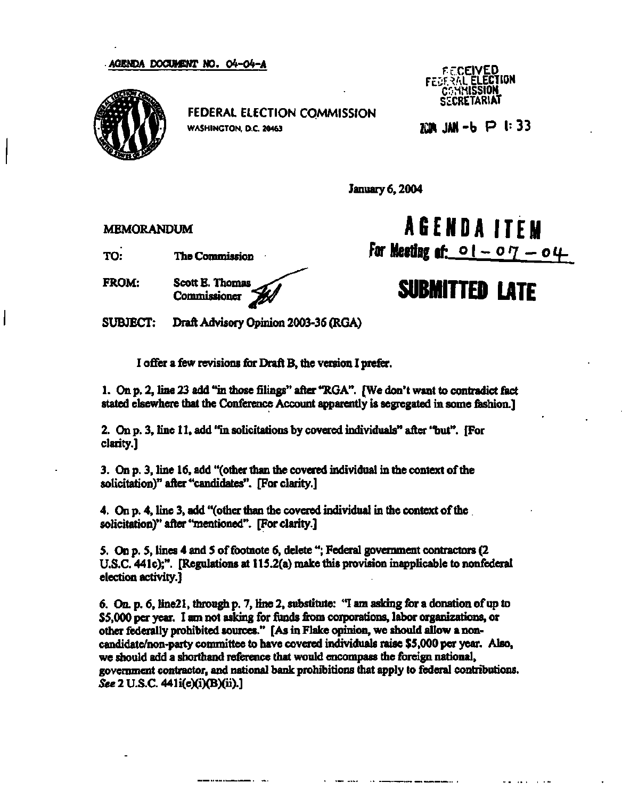**AGENDA DOCUMENT NO. 04-04-A** 



**FEDERAL ELECTION COMMISSION WASHINGTON. D.C. 20463** 

**Ff.CEIVED FESTAL ELECTION COMMISSION SZCRETARIAT** 

**ZCOH JAN - b P h 3 3** 

**January 6,2004** 

**MEMORANDUM** 

**TO: The Commission** 

**FROM: Scott E. Thomas** 

**Commissioner '^** 

**AGEND A ITEM**  For Meeting of:  $01 - 07 - 04$ 

## **SUBMITTED LATE**

**SUBJECT: Draft Advisory Opinion 2003-36 (RGA)** 

**I offer a few revisions for Draft B, the version I prefer.** 

1. On p. 2, line 23 add "in those filings" after "RGA". [We don't want to contradict fact **stated elsewhere that the Conference Account apparently is segregated in some fashion.]** 

**2. On p. 3, line 11, add "in solicitations by covered individuals\*' after "but". [For clarity.]** 

**3. On p. 3, line 16, add "(other than the covered individual in the context of the solicitation)" after "candidates". [For clarity.]** 

**4. On p. 4, line 3, add "(other than the covered individual in the context of the . solicitation)" after "mentioned". [For clarity.]** 

**5. On p. 5, lines 4 and 5 of footnote 6, delete "; Federal government contractors (2 U.S.C. 441c);". [Regulations at 115.2(a) make this provision inapplicable to nonfederal election activity.]** 

**6. On. p. 6, line21, through p. 7, line 2, substitute: "I am asking for a donation of up to \$5,000 per year. I am not asking for funds from corporations, labor organizations, or other federally prohibited sources." [As in Flake opinion, we should allow a noncandidate/non-party committee to have covered individuals raise \$5,000 per year. Also, we should add a shorthand reference that would encompass the foreign national, government contractor, and national bank prohibitions that apply to federal contributions.**  *See* **2 U.S.C. 441i(e)(i)(B)(ii).]**